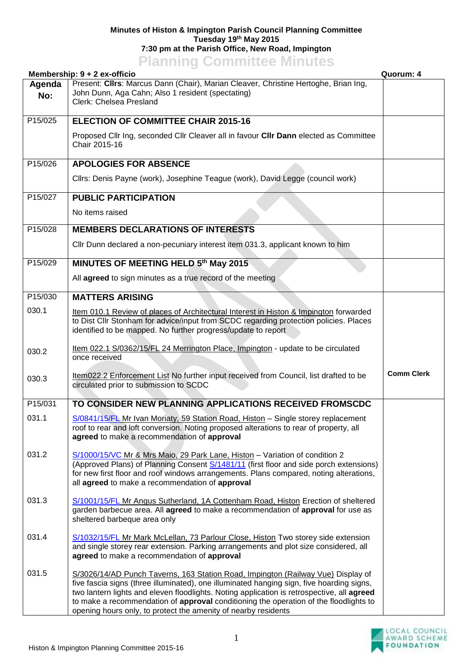## **Minutes of Histon & Impington Parish Council Planning Committee Tuesday 19th May 2015 7:30 pm at the Parish Office, New Road, Impington Planning Committee Minutes**

|               | Membership: 9 + 2 ex-officio                                                                                                                                                                                                                                                                                                                                                                                                           | Quorum: 4         |
|---------------|----------------------------------------------------------------------------------------------------------------------------------------------------------------------------------------------------------------------------------------------------------------------------------------------------------------------------------------------------------------------------------------------------------------------------------------|-------------------|
| Agenda<br>No: | Present: Clirs: Marcus Dann (Chair), Marian Cleaver, Christine Hertoghe, Brian Ing,<br>John Dunn, Aga Cahn; Also 1 resident (spectating)<br>Clerk: Chelsea Presland                                                                                                                                                                                                                                                                    |                   |
| P15/025       | <b>ELECTION OF COMMITTEE CHAIR 2015-16</b>                                                                                                                                                                                                                                                                                                                                                                                             |                   |
|               | Proposed Cllr Ing, seconded Cllr Cleaver all in favour Cllr Dann elected as Committee<br>Chair 2015-16                                                                                                                                                                                                                                                                                                                                 |                   |
| P15/026       | <b>APOLOGIES FOR ABSENCE</b>                                                                                                                                                                                                                                                                                                                                                                                                           |                   |
|               | Cllrs: Denis Payne (work), Josephine Teague (work), David Legge (council work)                                                                                                                                                                                                                                                                                                                                                         |                   |
| P15/027       | <b>PUBLIC PARTICIPATION</b>                                                                                                                                                                                                                                                                                                                                                                                                            |                   |
|               | No items raised                                                                                                                                                                                                                                                                                                                                                                                                                        |                   |
| P15/028       | <b>MEMBERS DECLARATIONS OF INTERESTS</b>                                                                                                                                                                                                                                                                                                                                                                                               |                   |
|               | Cllr Dunn declared a non-pecuniary interest item 031.3, applicant known to him                                                                                                                                                                                                                                                                                                                                                         |                   |
| P15/029       | MINUTES OF MEETING HELD 5th May 2015                                                                                                                                                                                                                                                                                                                                                                                                   |                   |
|               | All agreed to sign minutes as a true record of the meeting                                                                                                                                                                                                                                                                                                                                                                             |                   |
| P15/030       | <b>MATTERS ARISING</b>                                                                                                                                                                                                                                                                                                                                                                                                                 |                   |
| 030.1         | Item 010.1 Review of places of Architectural Interest in Histon & Impington forwarded<br>to Dist Cllr Stonham for advice/input from SCDC regarding protection policies. Places<br>identified to be mapped. No further progress/update to report                                                                                                                                                                                        |                   |
| 030.2         | Item 022.1 S/0362/15/FL 24 Merrington Place, Impington - update to be circulated<br>once received                                                                                                                                                                                                                                                                                                                                      |                   |
| 030.3         | Item022.2 Enforcement List No further input received from Council, list drafted to be<br>circulated prior to submission to SCDC                                                                                                                                                                                                                                                                                                        | <b>Comm Clerk</b> |
| P15/031       | TO CONSIDER NEW PLANNING APPLICATIONS RECEIVED FROMSCDC                                                                                                                                                                                                                                                                                                                                                                                |                   |
| 031.1         | S/0841/15/FL Mr Ivan Moriaty, 59 Station Road, Histon - Single storey replacement<br>roof to rear and loft conversion. Noting proposed alterations to rear of property, all<br>agreed to make a recommendation of approval                                                                                                                                                                                                             |                   |
| 031.2         | S/1000/15/VC Mr & Mrs Maio, 29 Park Lane, Histon - Variation of condition 2<br>(Approved Plans) of Planning Consent S/1481/11 (first floor and side porch extensions)<br>for new first floor and roof windows arrangements. Plans compared, noting alterations,<br>all agreed to make a recommendation of approval                                                                                                                     |                   |
| 031.3         | S/1001/15/FL Mr Angus Sutherland, 1A Cottenham Road, Histon Erection of sheltered<br>garden barbecue area. All agreed to make a recommendation of approval for use as<br>sheltered barbeque area only                                                                                                                                                                                                                                  |                   |
| 031.4         | S/1032/15/FL Mr Mark McLellan, 73 Parlour Close, Histon Two storey side extension<br>and single storey rear extension. Parking arrangements and plot size considered, all<br>agreed to make a recommendation of approval                                                                                                                                                                                                               |                   |
| 031.5         | S/3026/14/AD Punch Taverns, 163 Station Road, Impington (Railway Vue) Display of<br>five fascia signs (three illuminated), one illuminated hanging sign, five hoarding signs,<br>two lantern lights and eleven floodlights. Noting application is retrospective, all agreed<br>to make a recommendation of approval conditioning the operation of the floodlights to<br>opening hours only, to protect the amenity of nearby residents |                   |